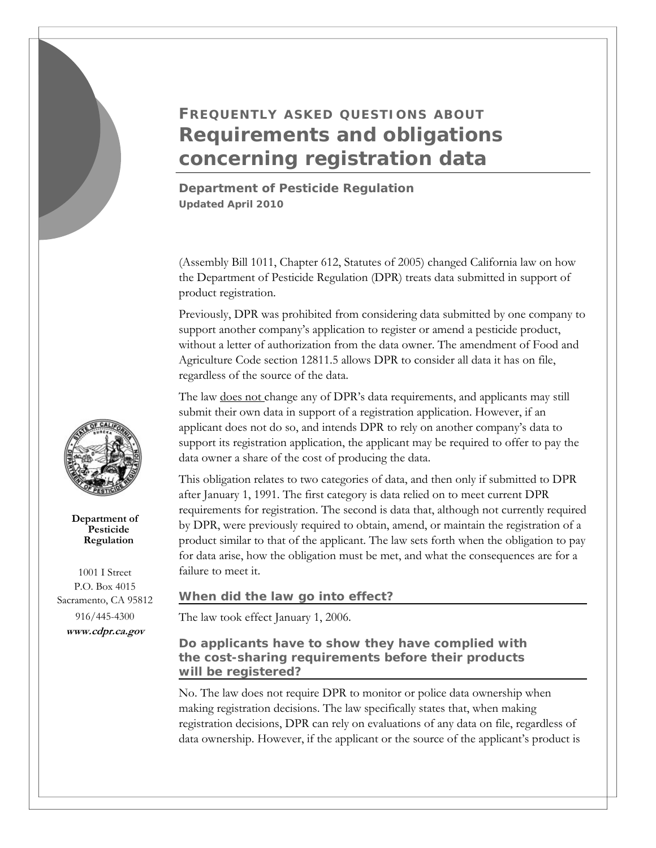# **FREQUENTLY ASKED QUESTIONS ABOUT Requirements and obligations concerning registration data**

**Department of Pesticide Regulation** *Updated April 2010* 

(Assembly Bill 1011, Chapter 612, Statutes of 2005) changed California law on how the Department of Pesticide Regulation (DPR) treats data submitted in support of product registration.

Previously, DPR was prohibited from considering data submitted by one company to support another company's application to register or amend a pesticide product, without a letter of authorization from the data owner. The amendment of Food and Agriculture Code section 12811.5 allows DPR to consider all data it has on file, regardless of the source of the data.

The law does not change any of DPR's data requirements, and applicants may still submit their own data in support of a registration application. However, if an applicant does not do so, and intends DPR to rely on another company's data to support its registration application, the applicant may be required to offer to pay the data owner a share of the cost of producing the data.

This obligation relates to two categories of data, and then only if submitted to DPR after January 1, 1991. The first category is data relied on to meet current DPR requirements for registration. The second is data that, although not currently required by DPR, were previously required to obtain, amend, or maintain the registration of a product similar to that of the applicant. The law sets forth when the obligation to pay for data arise, how the obligation must be met, and what the consequences are for a failure to meet it.

## **When did the law go into effect?**

The law took effect January 1, 2006.

# **Do applicants have to show they have complied with the cost-sharing requirements before their products will be registered?**

No. The law does not require DPR to monitor or police data ownership when making registration decisions. The law specifically states that, when making registration decisions, DPR can rely on evaluations of any data on file, regardless of data ownership. However, if the applicant or the source of the applicant's product is



**Department of Pesticide Regulation** 

1001 I Street P.O. Box 4015 Sacramento, CA 95812 916/445-4300 **<www.cdpr.ca.gov>**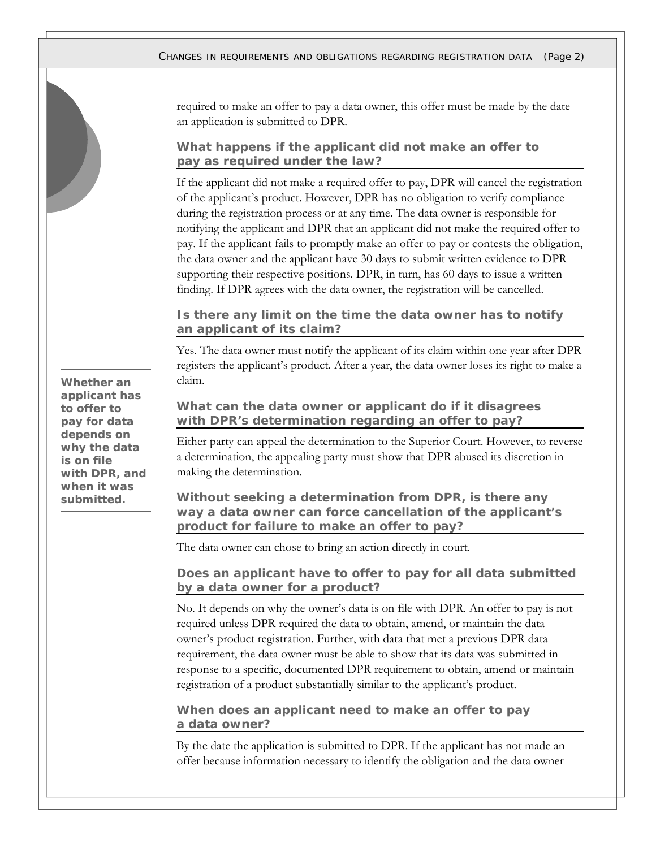required to make an offer to pay a data owner, this offer must be made by the date an application is submitted to DPR.

## **What happens if the applicant did not make an offer to pay as required under the law?**

If the applicant did not make a required offer to pay, DPR will cancel the registration of the applicant's product. However, DPR has no obligation to verify compliance during the registration process or at any time. The data owner is responsible for notifying the applicant and DPR that an applicant did not make the required offer to pay. If the applicant fails to promptly make an offer to pay or contests the obligation, the data owner and the applicant have 30 days to submit written evidence to DPR supporting their respective positions. DPR, in turn, has 60 days to issue a written finding. If DPR agrees with the data owner, the registration will be cancelled.

**Is there any limit on the time the data owner has to notify an applicant of its claim?** 

Yes. The data owner must notify the applicant of its claim within one year after DPR registers the applicant's product. After a year, the data owner loses its right to make a claim.

## **What can the data owner or applicant do if it disagrees with DPR's determination regarding an offer to pay?**

Either party can appeal the determination to the Superior Court. However, to reverse a determination, the appealing party must show that DPR abused its discretion in making the determination.

## **Without seeking a determination from DPR, is there any way a data owner can force cancellation of the applicant's product for failure to make an offer to pay?**

The data owner can chose to bring an action directly in court.

## **Does an applicant have to offer to pay for all data submitted by a data owner for a product?**

No. It depends on why the owner's data is on file with DPR. An offer to pay is not required unless DPR required the data to obtain, amend, or maintain the data owner's product registration. Further, with data that met a previous DPR data requirement, the data owner must be able to show that its data was submitted in response to a specific, documented DPR requirement to obtain, amend or maintain registration of a product substantially similar to the applicant's product.

## **When does an applicant need to make an offer to pay a data owner?**

By the date the application is submitted to DPR. If the applicant has not made an offer because information necessary to identify the obligation and the data owner

**Whether an applicant has to offer to pay for data depends on why the data is on file with DPR, and when it was submitted.**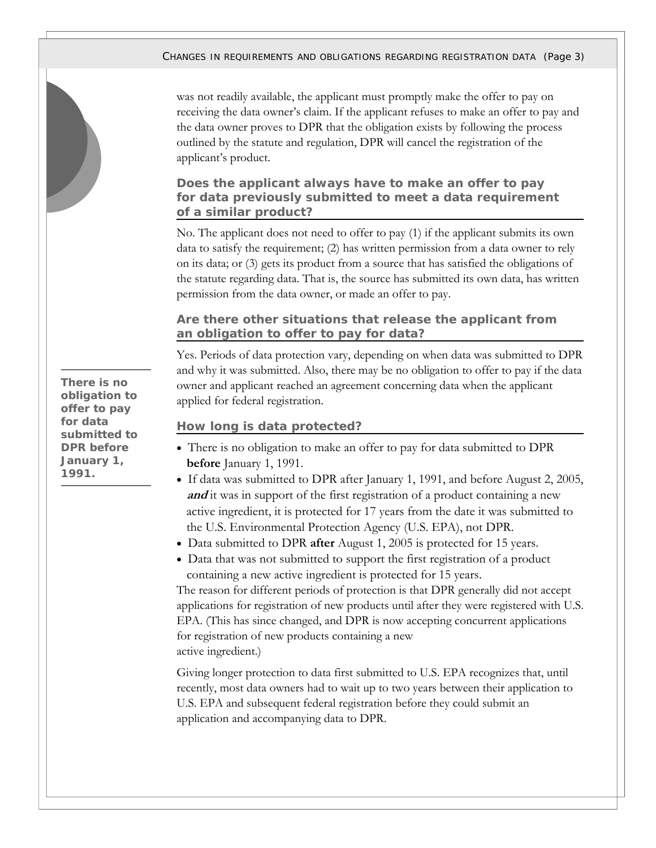#### CHANGES IN REQUIREMENTS AND OBLIGATIONS REGARDING REGISTRATION DATA *(Page 3)*

was not readily available, the applicant must promptly make the offer to pay on receiving the data owner's claim. If the applicant refuses to make an offer to pay and the data owner proves to DPR that the obligation exists by following the process outlined by the statute and regulation, DPR will cancel the registration of the applicant's product.

## **Does the applicant always have to make an offer to pay for data previously submitted to meet a data requirement of a similar product?**

No. The applicant does not need to offer to pay (1) if the applicant submits its own data to satisfy the requirement; (2) has written permission from a data owner to rely on its data; or (3) gets its product from a source that has satisfied the obligations of the statute regarding data. That is, the source has submitted its own data, has written permission from the data owner, or made an offer to pay.

#### **Are there other situations that release the applicant from an obligation to offer to pay for data?**

Yes. Periods of data protection vary, depending on when data was submitted to DPR and why it was submitted. Also, there may be no obligation to offer to pay if the data owner and applicant reached an agreement concerning data when the applicant applied for federal registration.

#### **How long is data protected?**

- There is no obligation to make an offer to pay for data submitted to DPR **before** January 1, 1991.
- If data was submitted to DPR after January 1, 1991, and before August 2, 2005, **and** it was in support of the first registration of a product containing a new active ingredient, it is protected for 17 years from the date it was submitted to the U.S. Environmental Protection Agency (U.S. EPA), not DPR.
- Data submitted to DPR **after** August 1, 2005 is protected for 15 years.
- Data that was not submitted to support the first registration of a product containing a new active ingredient is protected for 15 years.

The reason for different periods of protection is that DPR generally did not accept applications for registration of new products until after they were registered with U.S. EPA. (This has since changed, and DPR is now accepting concurrent applications for registration of new products containing a new active ingredient.)

Giving longer protection to data first submitted to U.S. EPA recognizes that, until recently, most data owners had to wait up to two years between their application to U.S. EPA and subsequent federal registration before they could submit an application and accompanying data to DPR.

**There is no obligation to offer to pay for data submitted to DPR before January 1, 1991.**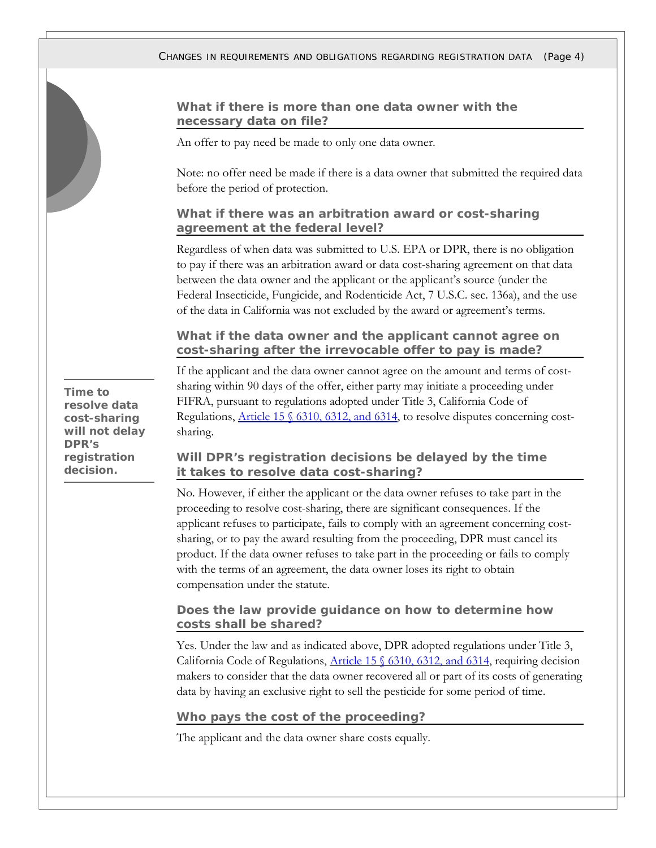## **What if there is more than one data owner with the necessary data on file?**

An offer to pay need be made to only one data owner.

Note: no offer need be made if there is a data owner that submitted the required data before the period of protection.

#### **What if there was an arbitration award or cost-sharing agreement at the federal level?**

Regardless of when data was submitted to U.S. EPA or DPR, there is no obligation to pay if there was an arbitration award or data cost-sharing agreement on that data between the data owner and the applicant or the applicant's source (under the Federal Insecticide, Fungicide, and Rodenticide Act, 7 U.S.C. sec. 136a), and the use of the data in California was not excluded by the award or agreement's terms.

## **What if the data owner and the applicant cannot agree on cost-sharing after the irrevocable offer to pay is made?**

**Time to resolve data cost-sharing will not delay DPR's registration decision.** 

If the applicant and the data owner cannot agree on the amount and terms of costsharing within 90 days of the offer, either party may initiate a proceeding under FIFRA, pursuant to regulations adopted under Title 3, California Code of Regulations, [Article 15 § 6310, 6312, and 6314](https://www.cdpr.ca.gov/docs/legbills/calcode/020115.htm), to resolve disputes concerning costsharing.

## **Will DPR's registration decisions be delayed by the time it takes to resolve data cost-sharing?**

No. However, if either the applicant or the data owner refuses to take part in the proceeding to resolve cost-sharing, there are significant consequences. If the applicant refuses to participate, fails to comply with an agreement concerning costsharing, or to pay the award resulting from the proceeding, DPR must cancel its product. If the data owner refuses to take part in the proceeding or fails to comply with the terms of an agreement, the data owner loses its right to obtain compensation under the statute.

## **Does the law provide guidance on how to determine how costs shall be shared?**

Yes. Under the law and as indicated above, DPR adopted regulations under Title 3, California Code of Regulations, Article 15  $\frac{6310}{6312}$ , and 6314, requiring decision makers to consider that the data owner recovered all or part of its costs of generating data by having an exclusive right to sell the pesticide for some period of time.

#### **Who pays the cost of the proceeding?**

The applicant and the data owner share costs equally.